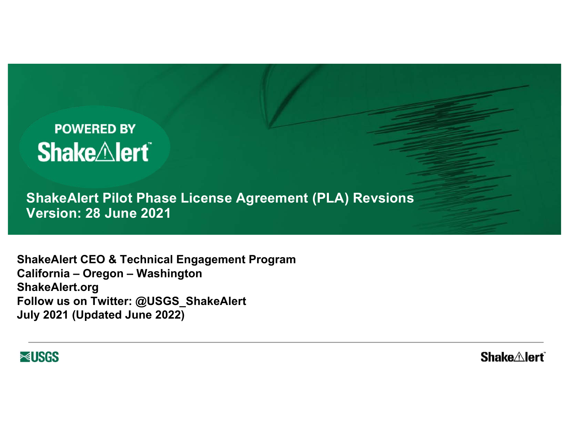# **POWERED BY Shake***Alert*

**ShakeAlert Pilot Phase License Agreement (PLA) Revsions Version: 28 June 2021**

Because seconds matter.

**ShakeAlert CEO & Technical Engagement Program California – Oregon – Washington ShakeAlert.org Follow us on Twitter: @USGS\_ShakeAlert July 2021 (Updated June 2022)**



**Shake∆lert**®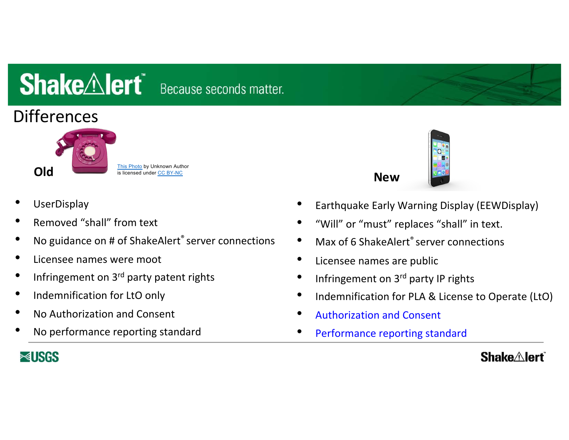# **Differences**



- **UserDisplay**
- Removed "shall" from text
- No guidance on # of ShakeAlert® server connections
- Licensee names were moot
- Infringement on 3<sup>rd</sup> party patent rights
- Indemnification for LtO only
- No Authorization and Consent
- No performance reporting standard



- Earthquake Early Warning Display (EEWDisplay)
- "Will" or "must" replaces "shall" in text.
- Max of 6 ShakeAlert<sup>®</sup> server connections
- Licensee names are public
- Infringement on 3<sup>rd</sup> party IP rights

**New**

- Indemnification for PLA & License to Operate (LtO)
- Authorization and Consent
- Performance reporting standard

## **≈USGS**

### **Shake** Alert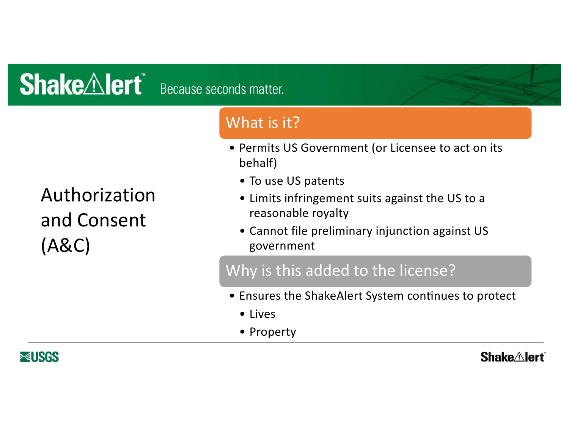Authorization and Consent (A&C)

## What is it?

- Permits US Government (or Licensee to act on its behalf)
	- To use US patents
	- Limits infringement suits against the US to a reasonable royalty
	- Cannot file preliminary injunction against US government

## Why is this added to the license?

- Ensures the ShakeAlert System continues to protect
	- Lives
	- Property

**≈USGS** 

## **Shake** $\triangle$ lert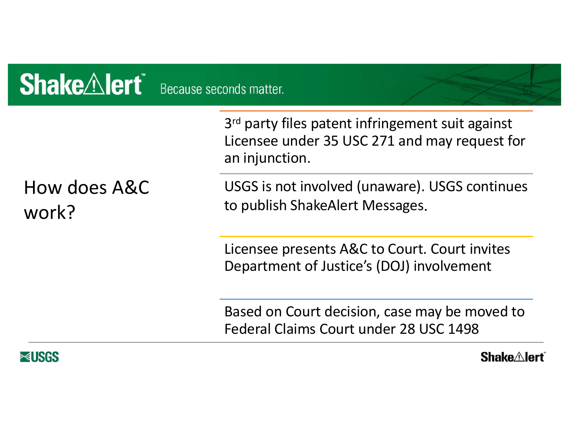| <b>Shake Alert</b> Because seconds matter. |                                                                                                                                 |
|--------------------------------------------|---------------------------------------------------------------------------------------------------------------------------------|
|                                            | 3 <sup>rd</sup> party files patent infringement suit against<br>Licensee under 35 USC 271 and may request for<br>an injunction. |
| How does A&C<br>work?                      | USGS is not involved (unaware). USGS continues<br>to publish ShakeAlert Messages.                                               |
|                                            | Licensee presents A&C to Court. Court invites<br>Department of Justice's (DOJ) involvement                                      |
|                                            | Based on Court decision, case may be moved to<br>Federal Claims Court under 28 USC 1498                                         |
| ≋usrs                                      | <b>Shake Alert</b>                                                                                                              |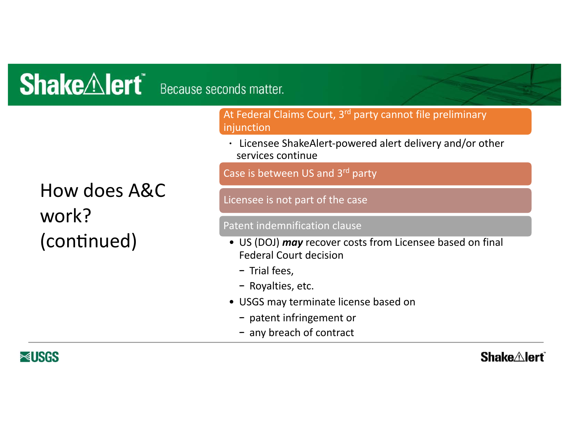How does A&C work? (continued)

At Federal Claims Court, 3<sup>rd</sup> party cannot file preliminary injunction

• Licensee ShakeAlert-powered alert delivery and/or other services continue

Case is between US and 3rd party

Licensee is not part of the case

#### Patent indemnification clause

- US (DOJ) *may* recover costs from Licensee based on final Federal Court decision
	- − Trial fees,
	- − Royalties, etc.
- USGS may terminate license based on
	- − patent infringement or
	- − any breach of contract

**≈USGS** 

#### **Shake** Alert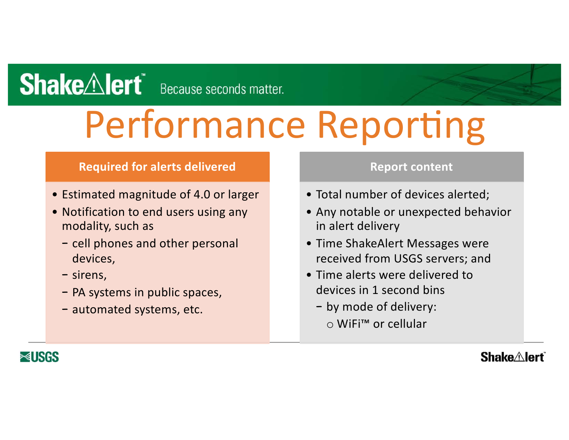# Performance Reporting

#### **Required for alerts delivered**

- Estimated magnitude of 4.0 or larger
- Notification to end users using any modality, such as
	- − cell phones and other personal devices,
	- − sirens,
	- − PA systems in public spaces,
	- − automated systems, etc.

#### **Report content**

- Total number of devices alerted;
- Any notable or unexpected behavior in alert delivery
- Time ShakeAlert Messages were received from USGS servers; and
- Time alerts were delivered to devices in 1 second bins
	- − by mode of delivery: o WiFi™ or cellular



### **Shake** Alert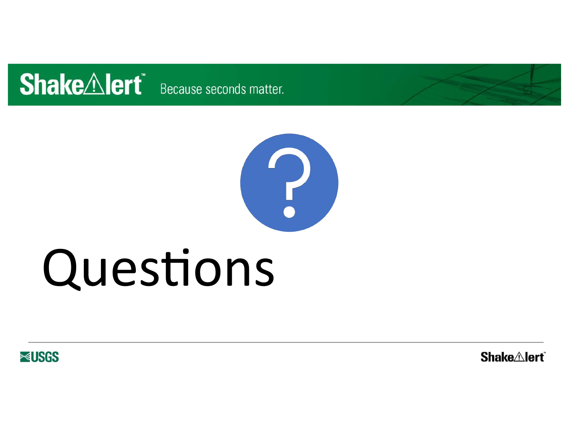



# Questions

**RUSGS** 

**Shake**<sup>*A*</sup>lert